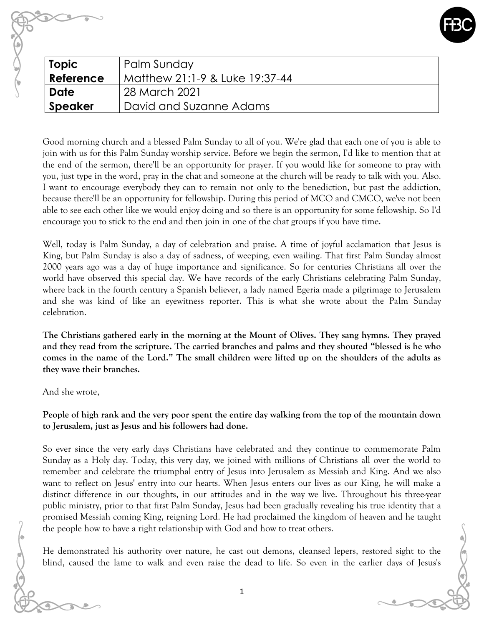

| <b>Topic</b> | Palm Sunday                    |
|--------------|--------------------------------|
| Reference    | Matthew 21:1-9 & Luke 19:37-44 |
| <b>Date</b>  | 28 March 2021                  |
| Speaker      | David and Suzanne Adams        |
|              |                                |

Good morning church and a blessed Palm Sunday to all of you. We're glad that each one of you is able to join with us for this Palm Sunday worship service. Before we begin the sermon, I'd like to mention that at the end of the sermon, there'll be an opportunity for prayer. If you would like for someone to pray with you, just type in the word, pray in the chat and someone at the church will be ready to talk with you. Also. I want to encourage everybody they can to remain not only to the benediction, but past the addiction, because there'll be an opportunity for fellowship. During this period of MCO and CMCO, we've not been able to see each other like we would enjoy doing and so there is an opportunity for some fellowship. So I'd encourage you to stick to the end and then join in one of the chat groups if you have time.

Well, today is Palm Sunday, a day of celebration and praise. A time of joyful acclamation that Jesus is King, but Palm Sunday is also a day of sadness, of weeping, even wailing. That first Palm Sunday almost 2000 years ago was a day of huge importance and significance. So for centuries Christians all over the world have observed this special day. We have records of the early Christians celebrating Palm Sunday, where back in the fourth century a Spanish believer, a lady named Egeria made a pilgrimage to Jerusalem and she was kind of like an eyewitness reporter. This is what she wrote about the Palm Sunday celebration.

**The Christians gathered early in the morning at the Mount of Olives. They sang hymns. They prayed and they read from the scripture. The carried branches and palms and they shouted "blessed is he who comes in the name of the Lord." The small children were lifted up on the shoulders of the adults as they wave their branches.**

And she wrote,

**People of high rank and the very poor spent the entire day walking from the top of the mountain down to Jerusalem, just as Jesus and his followers had done.** 

So ever since the very early days Christians have celebrated and they continue to commemorate Palm Sunday as a Holy day. Today, this very day, we joined with millions of Christians all over the world to remember and celebrate the triumphal entry of Jesus into Jerusalem as Messiah and King. And we also want to reflect on Jesus' entry into our hearts. When Jesus enters our lives as our King, he will make a distinct difference in our thoughts, in our attitudes and in the way we live. Throughout his three-year public ministry, prior to that first Palm Sunday, Jesus had been gradually revealing his true identity that a promised Messiah coming King, reigning Lord. He had proclaimed the kingdom of heaven and he taught the people how to have a right relationship with God and how to treat others.

He demonstrated his authority over nature, he cast out demons, cleansed lepers, restored sight to the blind, caused the lame to walk and even raise the dead to life. So even in the earlier days of Jesus's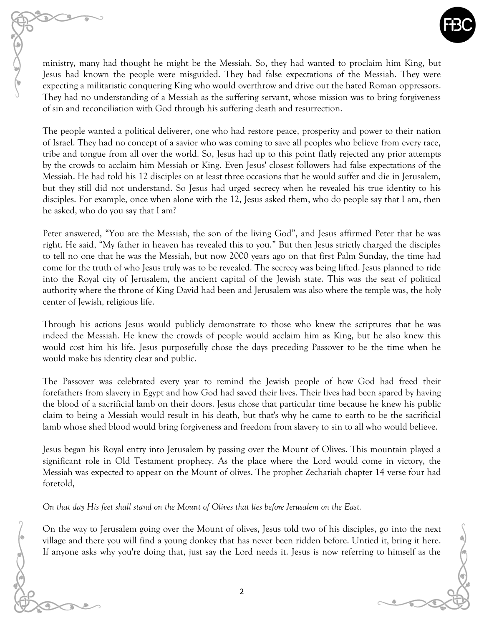

ministry, many had thought he might be the Messiah. So, they had wanted to proclaim him King, but Jesus had known the people were misguided. They had false expectations of the Messiah. They were expecting a militaristic conquering King who would overthrow and drive out the hated Roman oppressors. They had no understanding of a Messiah as the suffering servant, whose mission was to bring forgiveness of sin and reconciliation with God through his suffering death and resurrection.

The people wanted a political deliverer, one who had restore peace, prosperity and power to their nation of Israel. They had no concept of a savior who was coming to save all peoples who believe from every race, tribe and tongue from all over the world. So, Jesus had up to this point flatly rejected any prior attempts by the crowds to acclaim him Messiah or King. Even Jesus' closest followers had false expectations of the Messiah. He had told his 12 disciples on at least three occasions that he would suffer and die in Jerusalem, but they still did not understand. So Jesus had urged secrecy when he revealed his true identity to his disciples. For example, once when alone with the 12, Jesus asked them, who do people say that I am, then he asked, who do you say that I am?

Peter answered, "You are the Messiah, the son of the living God", and Jesus affirmed Peter that he was right. He said, "My father in heaven has revealed this to you." But then Jesus strictly charged the disciples to tell no one that he was the Messiah, but now 2000 years ago on that first Palm Sunday, the time had come for the truth of who Jesus truly was to be revealed. The secrecy was being lifted. Jesus planned to ride into the Royal city of Jerusalem, the ancient capital of the Jewish state. This was the seat of political authority where the throne of King David had been and Jerusalem was also where the temple was, the holy center of Jewish, religious life.

Through his actions Jesus would publicly demonstrate to those who knew the scriptures that he was indeed the Messiah. He knew the crowds of people would acclaim him as King, but he also knew this would cost him his life. Jesus purposefully chose the days preceding Passover to be the time when he would make his identity clear and public.

The Passover was celebrated every year to remind the Jewish people of how God had freed their forefathers from slavery in Egypt and how God had saved their lives. Their lives had been spared by having the blood of a sacrificial lamb on their doors. Jesus chose that particular time because he knew his public claim to being a Messiah would result in his death, but that's why he came to earth to be the sacrificial lamb whose shed blood would bring forgiveness and freedom from slavery to sin to all who would believe.

Jesus began his Royal entry into Jerusalem by passing over the Mount of Olives. This mountain played a significant role in Old Testament prophecy. As the place where the Lord would come in victory, the Messiah was expected to appear on the Mount of olives. The prophet Zechariah chapter 14 verse four had foretold,

*On that day His feet shall stand on the Mount of Olives that lies before Jerusalem on the East.*

On the way to Jerusalem going over the Mount of olives, Jesus told two of his disciples, go into the next village and there you will find a young donkey that has never been ridden before. Untied it, bring it here. If anyone asks why you're doing that, just say the Lord needs it. Jesus is now referring to himself as the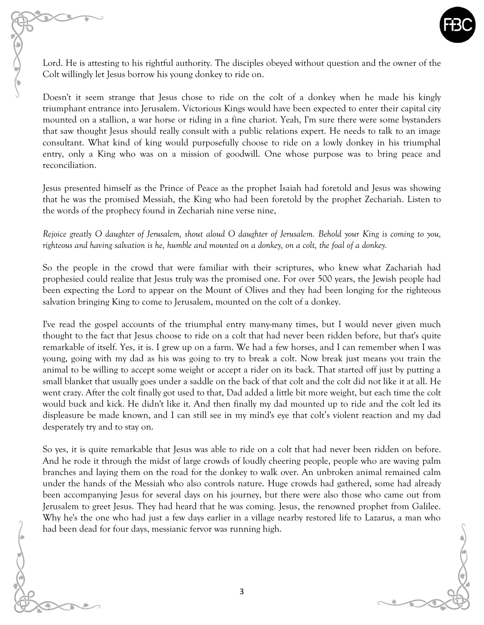Lord. He is attesting to his rightful authority. The disciples obeyed without question and the owner of the Colt willingly let Jesus borrow his young donkey to ride on.

Doesn't it seem strange that Jesus chose to ride on the colt of a donkey when he made his kingly triumphant entrance into Jerusalem. Victorious Kings would have been expected to enter their capital city mounted on a stallion, a war horse or riding in a fine chariot. Yeah, I'm sure there were some bystanders that saw thought Jesus should really consult with a public relations expert. He needs to talk to an image consultant. What kind of king would purposefully choose to ride on a lowly donkey in his triumphal entry, only a King who was on a mission of goodwill. One whose purpose was to bring peace and reconciliation.

Jesus presented himself as the Prince of Peace as the prophet Isaiah had foretold and Jesus was showing that he was the promised Messiah, the King who had been foretold by the prophet Zechariah. Listen to the words of the prophecy found in Zechariah nine verse nine,

*Rejoice greatly O daughter of Jerusalem, shout aloud O daughter of Jerusalem. Behold your King is coming to you, righteous and having salvation is he, humble and mounted on a donkey, on a colt, the foal of a donkey.* 

So the people in the crowd that were familiar with their scriptures, who knew what Zachariah had prophesied could realize that Jesus truly was the promised one. For over 500 years, the Jewish people had been expecting the Lord to appear on the Mount of Olives and they had been longing for the righteous salvation bringing King to come to Jerusalem, mounted on the colt of a donkey.

I've read the gospel accounts of the triumphal entry many-many times, but I would never given much thought to the fact that Jesus choose to ride on a colt that had never been ridden before, but that's quite remarkable of itself. Yes, it is. I grew up on a farm. We had a few horses, and I can remember when I was young, going with my dad as his was going to try to break a colt. Now break just means you train the animal to be willing to accept some weight or accept a rider on its back. That started off just by putting a small blanket that usually goes under a saddle on the back of that colt and the colt did not like it at all. He went crazy. After the colt finally got used to that, Dad added a little bit more weight, but each time the colt would buck and kick. He didn't like it. And then finally my dad mounted up to ride and the colt led its displeasure be made known, and I can still see in my mind's eye that colt's violent reaction and my dad desperately try and to stay on.

So yes, it is quite remarkable that Jesus was able to ride on a colt that had never been ridden on before. And he rode it through the midst of large crowds of loudly cheering people, people who are waving palm branches and laying them on the road for the donkey to walk over. An unbroken animal remained calm under the hands of the Messiah who also controls nature. Huge crowds had gathered, some had already been accompanying Jesus for several days on his journey, but there were also those who came out from Jerusalem to greet Jesus. They had heard that he was coming. Jesus, the renowned prophet from Galilee. Why he's the one who had just a few days earlier in a village nearby restored life to Lazarus, a man who had been dead for four days, messianic fervor was running high.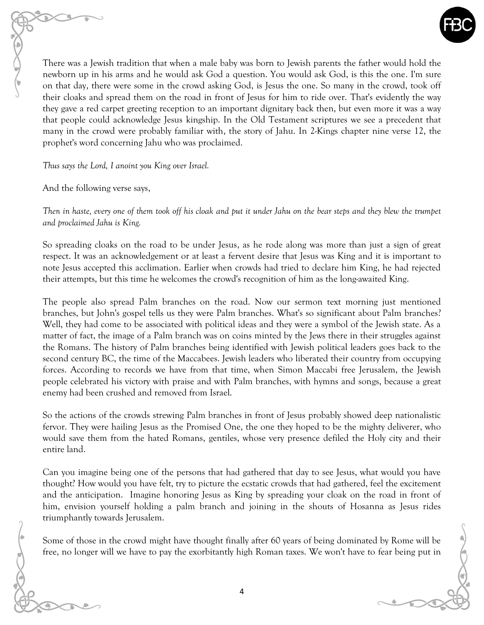There was a Jewish tradition that when a male baby was born to Jewish parents the father would hold the newborn up in his arms and he would ask God a question. You would ask God, is this the one. I'm sure on that day, there were some in the crowd asking God, is Jesus the one. So many in the crowd, took off their cloaks and spread them on the road in front of Jesus for him to ride over. That's evidently the way they gave a red carpet greeting reception to an important dignitary back then, but even more it was a way that people could acknowledge Jesus kingship. In the Old Testament scriptures we see a precedent that many in the crowd were probably familiar with, the story of Jahu. In 2-Kings chapter nine verse 12, the prophet's word concerning Jahu who was proclaimed.

*Thus says the Lord, I anoint you King over Israel.* 

And the following verse says,

*Then in haste, every one of them took off his cloak and put it under Jahu on the bear steps and they blew the trumpet and proclaimed Jahu is King.* 

So spreading cloaks on the road to be under Jesus, as he rode along was more than just a sign of great respect. It was an acknowledgement or at least a fervent desire that Jesus was King and it is important to note Jesus accepted this acclimation. Earlier when crowds had tried to declare him King, he had rejected their attempts, but this time he welcomes the crowd's recognition of him as the long-awaited King.

The people also spread Palm branches on the road. Now our sermon text morning just mentioned branches, but John's gospel tells us they were Palm branches. What's so significant about Palm branches? Well, they had come to be associated with political ideas and they were a symbol of the Jewish state. As a matter of fact, the image of a Palm branch was on coins minted by the Jews there in their struggles against the Romans. The history of Palm branches being identified with Jewish political leaders goes back to the second century BC, the time of the Maccabees. Jewish leaders who liberated their country from occupying forces. According to records we have from that time, when Simon Maccabi free Jerusalem, the Jewish people celebrated his victory with praise and with Palm branches, with hymns and songs, because a great enemy had been crushed and removed from Israel.

So the actions of the crowds strewing Palm branches in front of Jesus probably showed deep nationalistic fervor. They were hailing Jesus as the Promised One, the one they hoped to be the mighty deliverer, who would save them from the hated Romans, gentiles, whose very presence defiled the Holy city and their entire land.

Can you imagine being one of the persons that had gathered that day to see Jesus, what would you have thought? How would you have felt, try to picture the ecstatic crowds that had gathered, feel the excitement and the anticipation. Imagine honoring Jesus as King by spreading your cloak on the road in front of him, envision yourself holding a palm branch and joining in the shouts of Hosanna as Jesus rides triumphantly towards Jerusalem.

Some of those in the crowd might have thought finally after 60 years of being dominated by Rome will be free, no longer will we have to pay the exorbitantly high Roman taxes. We won't have to fear being put in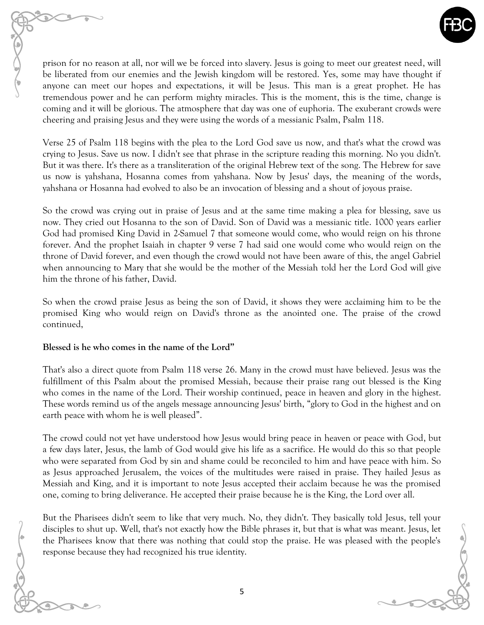

prison for no reason at all, nor will we be forced into slavery. Jesus is going to meet our greatest need, will be liberated from our enemies and the Jewish kingdom will be restored. Yes, some may have thought if anyone can meet our hopes and expectations, it will be Jesus. This man is a great prophet. He has tremendous power and he can perform mighty miracles. This is the moment, this is the time, change is coming and it will be glorious. The atmosphere that day was one of euphoria. The exuberant crowds were cheering and praising Jesus and they were using the words of a messianic Psalm, Psalm 118.

Verse 25 of Psalm 118 begins with the plea to the Lord God save us now, and that's what the crowd was crying to Jesus. Save us now. I didn't see that phrase in the scripture reading this morning. No you didn't. But it was there. It's there as a transliteration of the original Hebrew text of the song. The Hebrew for save us now is yahshana, Hosanna comes from yahshana. Now by Jesus' days, the meaning of the words, yahshana or Hosanna had evolved to also be an invocation of blessing and a shout of joyous praise.

So the crowd was crying out in praise of Jesus and at the same time making a plea for blessing, save us now. They cried out Hosanna to the son of David. Son of David was a messianic title. 1000 years earlier God had promised King David in 2-Samuel 7 that someone would come, who would reign on his throne forever. And the prophet Isaiah in chapter 9 verse 7 had said one would come who would reign on the throne of David forever, and even though the crowd would not have been aware of this, the angel Gabriel when announcing to Mary that she would be the mother of the Messiah told her the Lord God will give him the throne of his father, David.

So when the crowd praise Jesus as being the son of David, it shows they were acclaiming him to be the promised King who would reign on David's throne as the anointed one. The praise of the crowd continued,

## **Blessed is he who comes in the name of the Lord"**

That's also a direct quote from Psalm 118 verse 26. Many in the crowd must have believed. Jesus was the fulfillment of this Psalm about the promised Messiah, because their praise rang out blessed is the King who comes in the name of the Lord. Their worship continued, peace in heaven and glory in the highest. These words remind us of the angels message announcing Jesus' birth, "glory to God in the highest and on earth peace with whom he is well pleased".

The crowd could not yet have understood how Jesus would bring peace in heaven or peace with God, but a few days later, Jesus, the lamb of God would give his life as a sacrifice. He would do this so that people who were separated from God by sin and shame could be reconciled to him and have peace with him. So as Jesus approached Jerusalem, the voices of the multitudes were raised in praise. They hailed Jesus as Messiah and King, and it is important to note Jesus accepted their acclaim because he was the promised one, coming to bring deliverance. He accepted their praise because he is the King, the Lord over all.

But the Pharisees didn't seem to like that very much. No, they didn't. They basically told Jesus, tell your disciples to shut up. Well, that's not exactly how the Bible phrases it, but that is what was meant. Jesus, let the Pharisees know that there was nothing that could stop the praise. He was pleased with the people's response because they had recognized his true identity.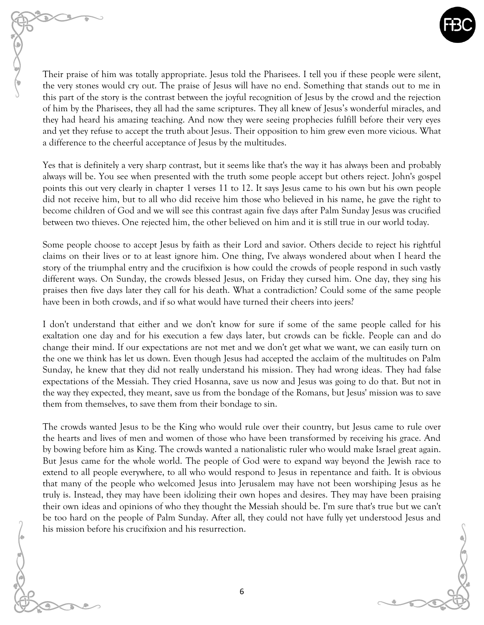

Their praise of him was totally appropriate. Jesus told the Pharisees. I tell you if these people were silent, the very stones would cry out. The praise of Jesus will have no end. Something that stands out to me in this part of the story is the contrast between the joyful recognition of Jesus by the crowd and the rejection of him by the Pharisees, they all had the same scriptures. They all knew of Jesus's wonderful miracles, and they had heard his amazing teaching. And now they were seeing prophecies fulfill before their very eyes and yet they refuse to accept the truth about Jesus. Their opposition to him grew even more vicious. What a difference to the cheerful acceptance of Jesus by the multitudes.

Yes that is definitely a very sharp contrast, but it seems like that's the way it has always been and probably always will be. You see when presented with the truth some people accept but others reject. John's gospel points this out very clearly in chapter 1 verses 11 to 12. It says Jesus came to his own but his own people did not receive him, but to all who did receive him those who believed in his name, he gave the right to become children of God and we will see this contrast again five days after Palm Sunday Jesus was crucified between two thieves. One rejected him, the other believed on him and it is still true in our world today.

Some people choose to accept Jesus by faith as their Lord and savior. Others decide to reject his rightful claims on their lives or to at least ignore him. One thing, I've always wondered about when I heard the story of the triumphal entry and the crucifixion is how could the crowds of people respond in such vastly different ways. On Sunday, the crowds blessed Jesus, on Friday they cursed him. One day, they sing his praises then five days later they call for his death. What a contradiction? Could some of the same people have been in both crowds, and if so what would have turned their cheers into jeers?

I don't understand that either and we don't know for sure if some of the same people called for his exaltation one day and for his execution a few days later, but crowds can be fickle. People can and do change their mind. If our expectations are not met and we don't get what we want, we can easily turn on the one we think has let us down. Even though Jesus had accepted the acclaim of the multitudes on Palm Sunday, he knew that they did not really understand his mission. They had wrong ideas. They had false expectations of the Messiah. They cried Hosanna, save us now and Jesus was going to do that. But not in the way they expected, they meant, save us from the bondage of the Romans, but Jesus' mission was to save them from themselves, to save them from their bondage to sin.

The crowds wanted Jesus to be the King who would rule over their country, but Jesus came to rule over the hearts and lives of men and women of those who have been transformed by receiving his grace. And by bowing before him as King. The crowds wanted a nationalistic ruler who would make Israel great again. But Jesus came for the whole world. The people of God were to expand way beyond the Jewish race to extend to all people everywhere, to all who would respond to Jesus in repentance and faith. It is obvious that many of the people who welcomed Jesus into Jerusalem may have not been worshiping Jesus as he truly is. Instead, they may have been idolizing their own hopes and desires. They may have been praising their own ideas and opinions of who they thought the Messiah should be. I'm sure that's true but we can't be too hard on the people of Palm Sunday. After all, they could not have fully yet understood Jesus and his mission before his crucifixion and his resurrection.

6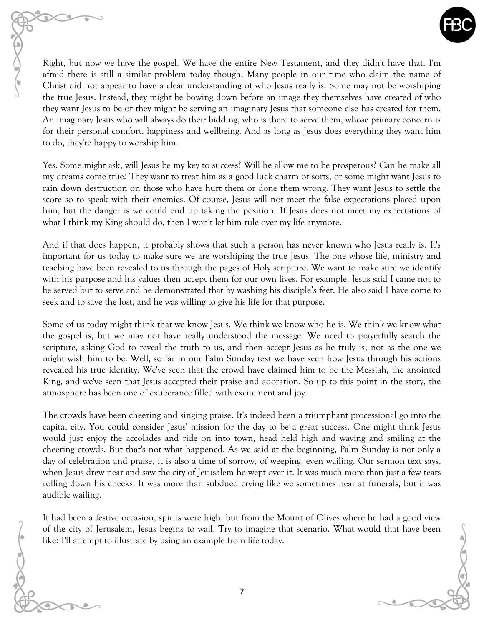

Right, but now we have the gospel. We have the entire New Testament, and they didn't have that. I'm afraid there is still a similar problem today though. Many people in our time who claim the name of Christ did not appear to have a clear understanding of who Jesus really is. Some may not be worshiping the true Jesus. Instead, they might be bowing down before an image they themselves have created of who they want Jesus to be or they might be serving an imaginary Jesus that someone else has created for them. An imaginary Jesus who will always do their bidding, who is there to serve them, whose primary concern is for their personal comfort, happiness and wellbeing. And as long as Jesus does everything they want him to do, they're happy to worship him.

Yes. Some might ask, will Jesus be my key to success? Will he allow me to be prosperous? Can he make all my dreams come true? They want to treat him as a good luck charm of sorts, or some might want Jesus to rain down destruction on those who have hurt them or done them wrong. They want Jesus to settle the score so to speak with their enemies. Of course, Jesus will not meet the false expectations placed upon him, but the danger is we could end up taking the position. If Jesus does not meet my expectations of what I think my King should do, then I won't let him rule over my life anymore.

And if that does happen, it probably shows that such a person has never known who Jesus really is. It's important for us today to make sure we are worshiping the true Jesus. The one whose life, ministry and teaching have been revealed to us through the pages of Holy scripture. We want to make sure we identify with his purpose and his values then accept them for our own lives. For example, Jesus said I came not to be served but to serve and he demonstrated that by washing his disciple's feet. He also said I have come to seek and to save the lost, and he was willing to give his life for that purpose.

Some of us today might think that we know Jesus. We think we know who he is. We think we know what the gospel is, but we may not have really understood the message. We need to prayerfully search the scripture, asking God to reveal the truth to us, and then accept Jesus as he truly is, not as the one we might wish him to be. Well, so far in our Palm Sunday text we have seen how Jesus through his actions revealed his true identity. We've seen that the crowd have claimed him to be the Messiah, the anointed King, and we've seen that Jesus accepted their praise and adoration. So up to this point in the story, the atmosphere has been one of exuberance filled with excitement and joy.

The crowds have been cheering and singing praise. It's indeed been a triumphant processional go into the capital city. You could consider Jesus' mission for the day to be a great success. One might think Jesus would just enjoy the accolades and ride on into town, head held high and waving and smiling at the cheering crowds. But that's not what happened. As we said at the beginning, Palm Sunday is not only a day of celebration and praise, it is also a time of sorrow, of weeping, even wailing. Our sermon text says, when Jesus drew near and saw the city of Jerusalem he wept over it. It was much more than just a few tears rolling down his cheeks. It was more than subdued crying like we sometimes hear at funerals, but it was audible wailing.

It had been a festive occasion, spirits were high, but from the Mount of Olives where he had a good view of the city of Jerusalem, Jesus begins to wail. Try to imagine that scenario. What would that have been like? I'll attempt to illustrate by using an example from life today.

7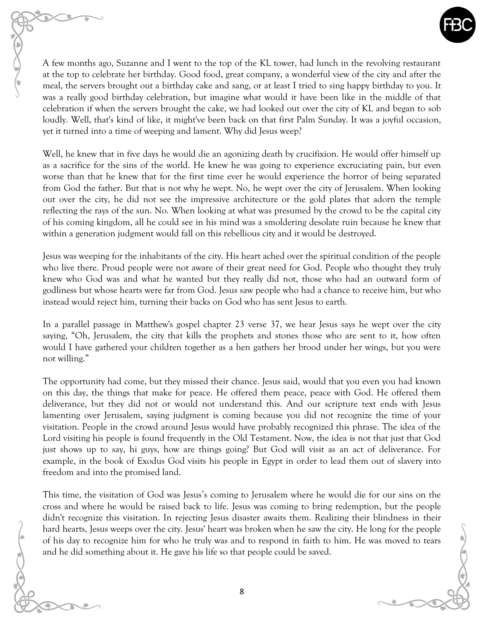

A few months ago, Suzanne and I went to the top of the KL tower, had lunch in the revolving restaurant at the top to celebrate her birthday. Good food, great company, a wonderful view of the city and after the meal, the servers brought out a birthday cake and sang, or at least I tried to sing happy birthday to you. It was a really good birthday celebration, but imagine what would it have been like in the middle of that celebration if when the servers brought the cake, we had looked out over the city of KL and began to sob loudly. Well, that's kind of like, it might've been back on that first Palm Sunday. It was a joyful occasion, yet it turned into a time of weeping and lament. Why did Jesus weep?

Well, he knew that in five days he would die an agonizing death by crucifixion. He would offer himself up as a sacrifice for the sins of the world. He knew he was going to experience excruciating pain, but even worse than that he knew that for the first time ever he would experience the horror of being separated from God the father. But that is not why he wept. No, he wept over the city of Jerusalem. When looking out over the city, he did not see the impressive architecture or the gold plates that adorn the temple reflecting the rays of the sun. No. When looking at what was presumed by the crowd to be the capital city of his coming kingdom, all he could see in his mind was a smoldering desolate ruin because he knew that within a generation judgment would fall on this rebellious city and it would be destroyed.

Jesus was weeping for the inhabitants of the city. His heart ached over the spiritual condition of the people who live there. Proud people were not aware of their great need for God. People who thought they truly knew who God was and what he wanted but they really did not, those who had an outward form of godliness but whose hearts were far from God. Jesus saw people who had a chance to receive him, but who instead would reject him, turning their backs on God who has sent Jesus to earth.

In a parallel passage in Matthew's gospel chapter 23 verse 37, we hear Jesus says he wept over the city saying, "Oh, Jerusalem, the city that kills the prophets and stones those who are sent to it, how often would I have gathered your children together as a hen gathers her brood under her wings, but you were not willing."

The opportunity had come, but they missed their chance. Jesus said, would that you even you had known on this day, the things that make for peace. He offered them peace, peace with God. He offered them deliverance, but they did not or would not understand this. And our scripture text ends with Jesus lamenting over Jerusalem, saying judgment is coming because you did not recognize the time of your visitation. People in the crowd around Jesus would have probably recognized this phrase. The idea of the Lord visiting his people is found frequently in the Old Testament. Now, the idea is not that just that God just shows up to say, hi guys, how are things going? But God will visit as an act of deliverance. For example, in the book of Exodus God visits his people in Egypt in order to lead them out of slavery into freedom and into the promised land.

This time, the visitation of God was Jesus's coming to Jerusalem where he would die for our sins on the cross and where he would be raised back to life. Jesus was coming to bring redemption, but the people didn't recognize this visitation. In rejecting Jesus disaster awaits them. Realizing their blindness in their hard hearts, Jesus weeps over the city. Jesus' heart was broken when he saw the city. He long for the people of his day to recognize him for who he truly was and to respond in faith to him. He was moved to tears and he did something about it. He gave his life so that people could be saved.